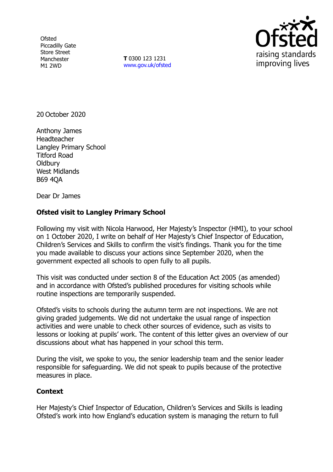**Ofsted** Piccadilly Gate Store Street Manchester M1 2WD

**T** 0300 123 1231 [www.gov.uk/ofsted](http://www.gov.uk/ofsted)



20 October 2020

Anthony James **Headteacher** Langley Primary School Titford Road **Oldbury** West Midlands B69 4QA

Dear Dr James

## **Ofsted visit to Langley Primary School**

Following my visit with Nicola Harwood, Her Majesty's Inspector (HMI), to your school on 1 October 2020, I write on behalf of Her Majesty's Chief Inspector of Education, Children's Services and Skills to confirm the visit's findings. Thank you for the time you made available to discuss your actions since September 2020, when the government expected all schools to open fully to all pupils.

This visit was conducted under section 8 of the Education Act 2005 (as amended) and in accordance with Ofsted's published procedures for visiting schools while routine inspections are temporarily suspended.

Ofsted's visits to schools during the autumn term are not inspections. We are not giving graded judgements. We did not undertake the usual range of inspection activities and were unable to check other sources of evidence, such as visits to lessons or looking at pupils' work. The content of this letter gives an overview of our discussions about what has happened in your school this term.

During the visit, we spoke to you, the senior leadership team and the senior leader responsible for safeguarding. We did not speak to pupils because of the protective measures in place.

## **Context**

Her Majesty's Chief Inspector of Education, Children's Services and Skills is leading Ofsted's work into how England's education system is managing the return to full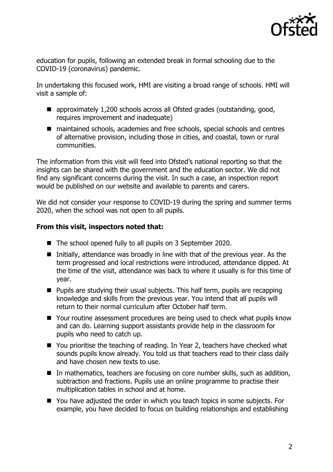

education for pupils, following an extended break in formal schooling due to the COVID-19 (coronavirus) pandemic.

In undertaking this focused work, HMI are visiting a broad range of schools. HMI will visit a sample of:

- approximately 1,200 schools across all Ofsted grades (outstanding, good, requires improvement and inadequate)
- maintained schools, academies and free schools, special schools and centres of alternative provision, including those in cities, and coastal, town or rural communities.

The information from this visit will feed into Ofsted's national reporting so that the insights can be shared with the government and the education sector. We did not find any significant concerns during the visit. In such a case, an inspection report would be published on our website and available to parents and carers.

We did not consider your response to COVID-19 during the spring and summer terms 2020, when the school was not open to all pupils.

## **From this visit, inspectors noted that:**

- The school opened fully to all pupils on 3 September 2020.
- Initially, attendance was broadly in line with that of the previous year. As the term progressed and local restrictions were introduced, attendance dipped. At the time of the visit, attendance was back to where it usually is for this time of year.
- $\blacksquare$  Pupils are studying their usual subjects. This half term, pupils are recapping knowledge and skills from the previous year. You intend that all pupils will return to their normal curriculum after October half term.
- Your routine assessment procedures are being used to check what pupils know and can do. Learning support assistants provide help in the classroom for pupils who need to catch up.
- You prioritise the teaching of reading. In Year 2, teachers have checked what sounds pupils know already. You told us that teachers read to their class daily and have chosen new texts to use.
- In mathematics, teachers are focusing on core number skills, such as addition, subtraction and fractions. Pupils use an online programme to practise their multiplication tables in school and at home.
- You have adjusted the order in which you teach topics in some subjects. For example, you have decided to focus on building relationships and establishing